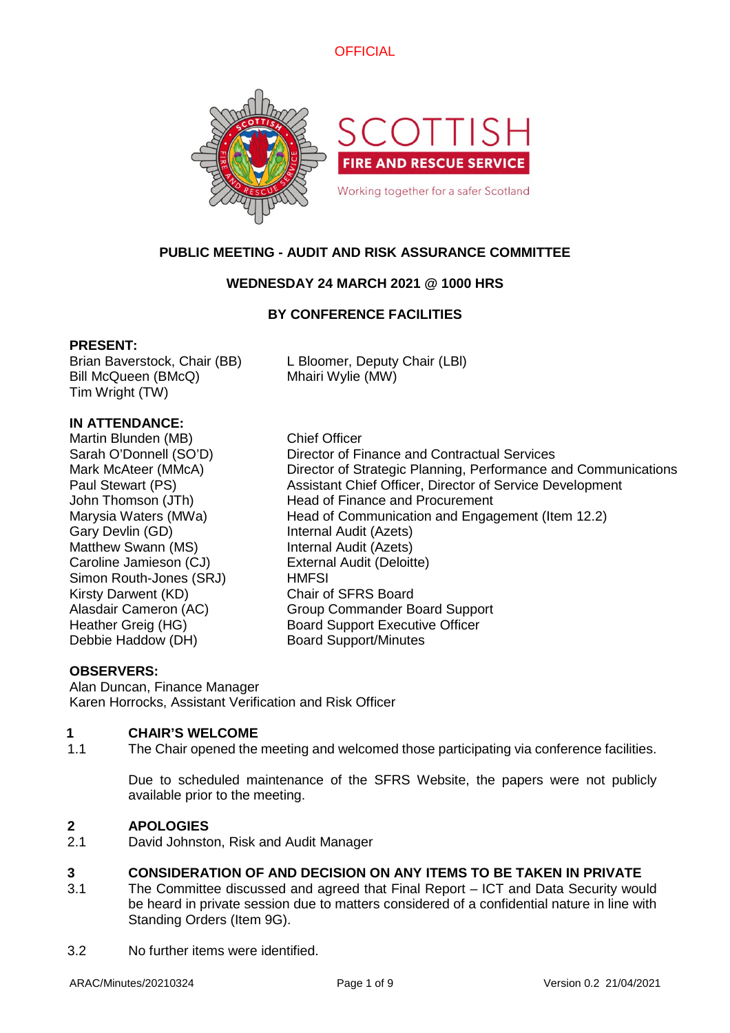



# **PUBLIC MEETING - AUDIT AND RISK ASSURANCE COMMITTEE**

### **WEDNESDAY 24 MARCH 2021 @ 1000 HRS**

### **BY CONFERENCE FACILITIES**

### **PRESENT:**

Brian Baverstock, Chair (BB) L Bloomer, Deputy Chair (LBl) Bill McQueen (BMcQ) Mhairi Wylie (MW) Tim Wright (TW)

## **IN ATTENDANCE:**

Martin Blunden (MB) Chief Officer Gary Devlin (GD) Internal Audit (Azets) Matthew Swann (MS) **Internal Audit (Azets)** Caroline Jamieson (CJ) External Audit (Deloitte) Simon Routh-Jones (SRJ) HMFSI Kirsty Darwent (KD) Chair of SFRS Board Debbie Haddow (DH) Board Support/Minutes

Sarah O'Donnell (SO'D) Director of Finance and Contractual Services Mark McAteer (MMcA) Director of Strategic Planning, Performance and Communications Paul Stewart (PS) Assistant Chief Officer, Director of Service Development John Thomson (JTh) Head of Finance and Procurement Marysia Waters (MWa) Head of Communication and Engagement (Item 12.2) Alasdair Cameron (AC) Group Commander Board Support Heather Greig (HG) Board Support Executive Officer

### **OBSERVERS:**

Alan Duncan, Finance Manager Karen Horrocks, Assistant Verification and Risk Officer

### **1 CHAIR'S WELCOME**

1.1 The Chair opened the meeting and welcomed those participating via conference facilities.

Due to scheduled maintenance of the SFRS Website, the papers were not publicly available prior to the meeting.

# **2 APOLOGIES**

2.1 David Johnston, Risk and Audit Manager

### **3 CONSIDERATION OF AND DECISION ON ANY ITEMS TO BE TAKEN IN PRIVATE**

- 3.1 The Committee discussed and agreed that Final Report – ICT and Data Security would be heard in private session due to matters considered of a confidential nature in line with Standing Orders (Item 9G).
- 3.2 No further items were identified.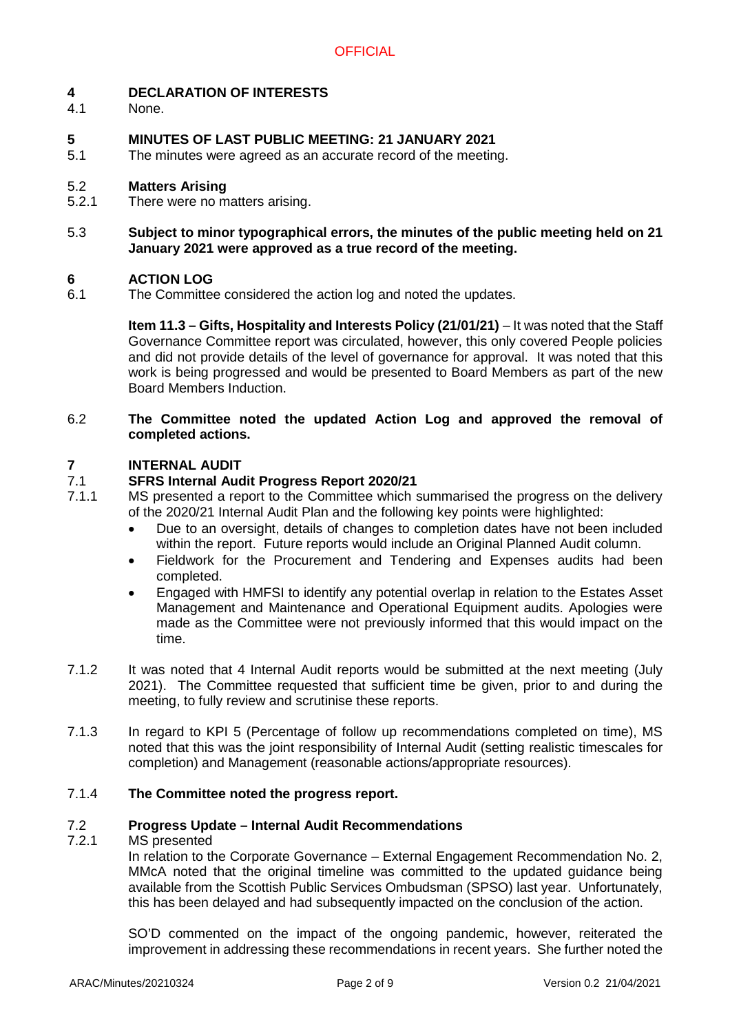#### **4 DECLARATION OF INTERESTS**

4.1 None.

### **5 MINUTES OF LAST PUBLIC MEETING: 21 JANUARY 2021**

5.1 The minutes were agreed as an accurate record of the meeting.

#### 5.2 **Matters Arising**

- 5.2.1 There were no matters arising.
- 5.3 **Subject to minor typographical errors, the minutes of the public meeting held on 21 January 2021 were approved as a true record of the meeting.**

#### **6 ACTION LOG**

6.1 The Committee considered the action log and noted the updates.

> **Item 11.3 – Gifts, Hospitality and Interests Policy (21/01/21)** – It was noted that the Staff Governance Committee report was circulated, however, this only covered People policies and did not provide details of the level of governance for approval. It was noted that this work is being progressed and would be presented to Board Members as part of the new Board Members Induction.

### 6.2 **The Committee noted the updated Action Log and approved the removal of completed actions.**

#### **7 INTERNAL AUDIT**

#### 7.1 **SFRS Internal Audit Progress Report 2020/21**

- 7.1.1 MS presented a report to the Committee which summarised the progress on the delivery of the 2020/21 Internal Audit Plan and the following key points were highlighted:
	- Due to an oversight, details of changes to completion dates have not been included within the report. Future reports would include an Original Planned Audit column.
	- Fieldwork for the Procurement and Tendering and Expenses audits had been completed.
	- Engaged with HMFSI to identify any potential overlap in relation to the Estates Asset Management and Maintenance and Operational Equipment audits. Apologies were made as the Committee were not previously informed that this would impact on the time.
- 7.1.2 It was noted that 4 Internal Audit reports would be submitted at the next meeting (July 2021). The Committee requested that sufficient time be given, prior to and during the meeting, to fully review and scrutinise these reports.
- 7.1.3 In regard to KPI 5 (Percentage of follow up recommendations completed on time), MS noted that this was the joint responsibility of Internal Audit (setting realistic timescales for completion) and Management (reasonable actions/appropriate resources).

#### 7.1.4 **The Committee noted the progress report.**

#### 7.2 **Progress Update – Internal Audit Recommendations**

#### 7.2.1 MS presented

In relation to the Corporate Governance – External Engagement Recommendation No. 2, MMcA noted that the original timeline was committed to the updated guidance being available from the Scottish Public Services Ombudsman (SPSO) last year. Unfortunately, this has been delayed and had subsequently impacted on the conclusion of the action.

SO'D commented on the impact of the ongoing pandemic, however, reiterated the improvement in addressing these recommendations in recent years. She further noted the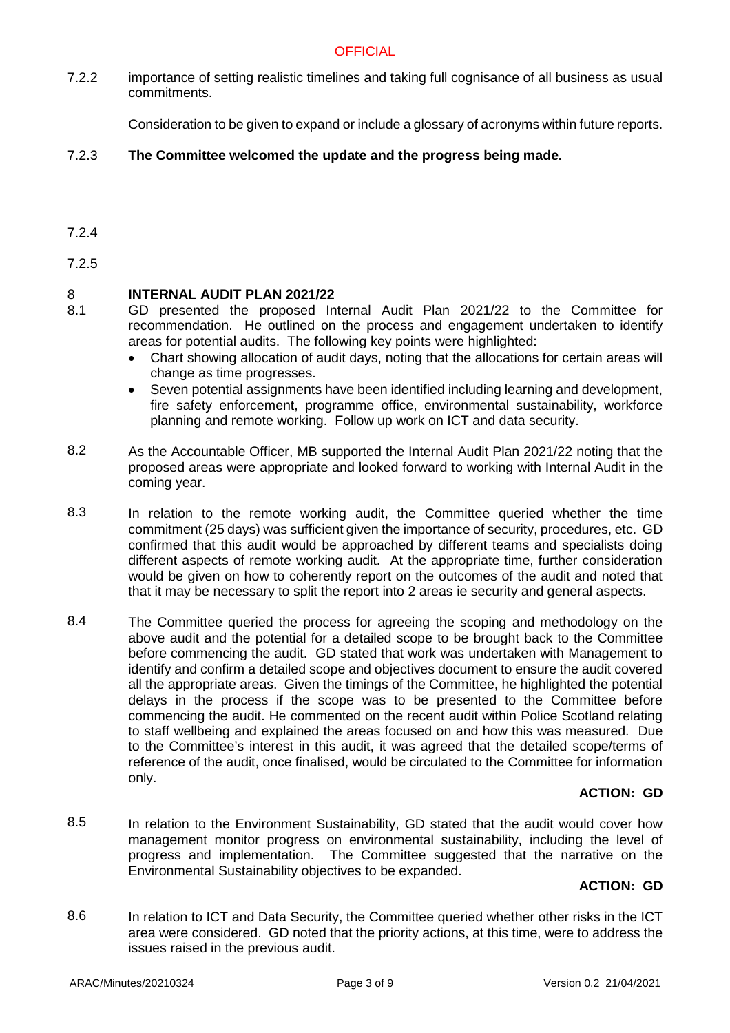7.2.2 importance of setting realistic timelines and taking full cognisance of all business as usual commitments.

Consideration to be given to expand or include a glossary of acronyms within future reports.

#### 7.2.3 **The Committee welcomed the update and the progress being made.**

7.2.4

7.2.5

#### 8 **INTERNAL AUDIT PLAN 2021/22**

- 8.1 GD presented the proposed Internal Audit Plan 2021/22 to the Committee for recommendation. He outlined on the process and engagement undertaken to identify areas for potential audits. The following key points were highlighted:
	- Chart showing allocation of audit days, noting that the allocations for certain areas will change as time progresses.
	- Seven potential assignments have been identified including learning and development, fire safety enforcement, programme office, environmental sustainability, workforce planning and remote working. Follow up work on ICT and data security.
- 8.2 As the Accountable Officer, MB supported the Internal Audit Plan 2021/22 noting that the proposed areas were appropriate and looked forward to working with Internal Audit in the coming year.
- 8.3 In relation to the remote working audit, the Committee queried whether the time commitment (25 days) was sufficient given the importance of security, procedures, etc. GD confirmed that this audit would be approached by different teams and specialists doing different aspects of remote working audit. At the appropriate time, further consideration would be given on how to coherently report on the outcomes of the audit and noted that that it may be necessary to split the report into 2 areas ie security and general aspects.
- 8.4 The Committee queried the process for agreeing the scoping and methodology on the above audit and the potential for a detailed scope to be brought back to the Committee before commencing the audit. GD stated that work was undertaken with Management to identify and confirm a detailed scope and objectives document to ensure the audit covered all the appropriate areas. Given the timings of the Committee, he highlighted the potential delays in the process if the scope was to be presented to the Committee before commencing the audit. He commented on the recent audit within Police Scotland relating to staff wellbeing and explained the areas focused on and how this was measured. Due to the Committee's interest in this audit, it was agreed that the detailed scope/terms of reference of the audit, once finalised, would be circulated to the Committee for information only.

### **ACTION: GD**

8.5 In relation to the Environment Sustainability, GD stated that the audit would cover how management monitor progress on environmental sustainability, including the level of progress and implementation. The Committee suggested that the narrative on the Environmental Sustainability objectives to be expanded.

### **ACTION: GD**

8.6 In relation to ICT and Data Security, the Committee queried whether other risks in the ICT area were considered. GD noted that the priority actions, at this time, were to address the issues raised in the previous audit.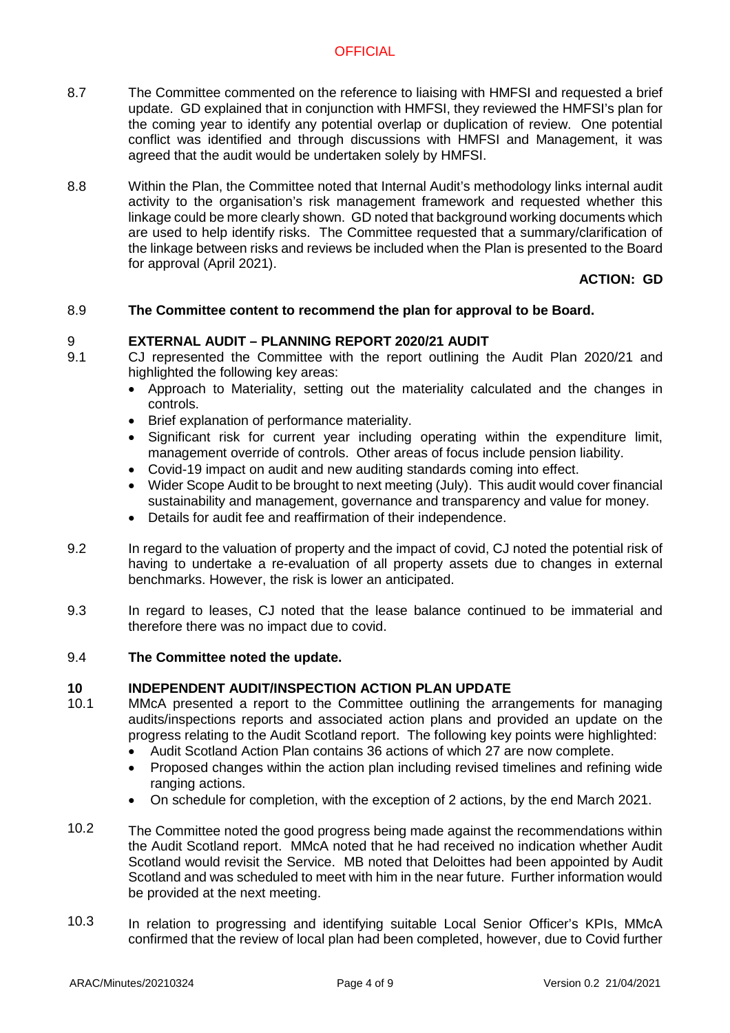- 8.7 The Committee commented on the reference to liaising with HMFSI and requested a brief update. GD explained that in conjunction with HMFSI, they reviewed the HMFSI's plan for the coming year to identify any potential overlap or duplication of review. One potential conflict was identified and through discussions with HMFSI and Management, it was agreed that the audit would be undertaken solely by HMFSI.
- 8.8 Within the Plan, the Committee noted that Internal Audit's methodology links internal audit activity to the organisation's risk management framework and requested whether this linkage could be more clearly shown. GD noted that background working documents which are used to help identify risks. The Committee requested that a summary/clarification of the linkage between risks and reviews be included when the Plan is presented to the Board for approval (April 2021).

### **ACTION: GD**

#### 8.9 **The Committee content to recommend the plan for approval to be Board.**

#### 9 **EXTERNAL AUDIT – PLANNING REPORT 2020/21 AUDIT**

- 9.1 CJ represented the Committee with the report outlining the Audit Plan 2020/21 and highlighted the following key areas:
	- Approach to Materiality, setting out the materiality calculated and the changes in controls.
	- Brief explanation of performance materiality.
	- Significant risk for current year including operating within the expenditure limit, management override of controls. Other areas of focus include pension liability.
	- Covid-19 impact on audit and new auditing standards coming into effect.
	- Wider Scope Audit to be brought to next meeting (July). This audit would cover financial sustainability and management, governance and transparency and value for money.
	- Details for audit fee and reaffirmation of their independence.
- 9.2 In regard to the valuation of property and the impact of covid, CJ noted the potential risk of having to undertake a re-evaluation of all property assets due to changes in external benchmarks. However, the risk is lower an anticipated.
- 9.3 In regard to leases, CJ noted that the lease balance continued to be immaterial and therefore there was no impact due to covid.

#### 9.4 **The Committee noted the update.**

#### **10 INDEPENDENT AUDIT/INSPECTION ACTION PLAN UPDATE**

- 10.1 MMcA presented a report to the Committee outlining the arrangements for managing audits/inspections reports and associated action plans and provided an update on the progress relating to the Audit Scotland report. The following key points were highlighted:
	- Audit Scotland Action Plan contains 36 actions of which 27 are now complete.
	- Proposed changes within the action plan including revised timelines and refining wide ranging actions.
	- On schedule for completion, with the exception of 2 actions, by the end March 2021.
- 10.2 The Committee noted the good progress being made against the recommendations within the Audit Scotland report. MMcA noted that he had received no indication whether Audit Scotland would revisit the Service. MB noted that Deloittes had been appointed by Audit Scotland and was scheduled to meet with him in the near future. Further information would be provided at the next meeting.
- 10.3 In relation to progressing and identifying suitable Local Senior Officer's KPIs, MMcA confirmed that the review of local plan had been completed, however, due to Covid further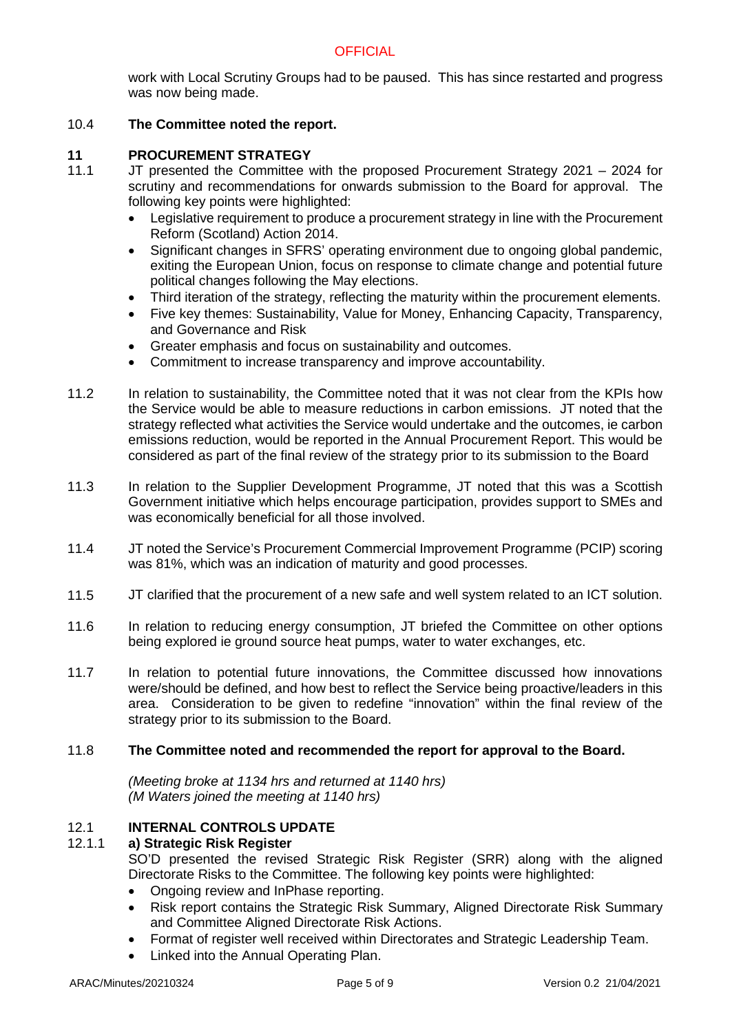work with Local Scrutiny Groups had to be paused. This has since restarted and progress was now being made.

#### 10.4 **The Committee noted the report.**

#### **11 PROCUREMENT STRATEGY**

- 11.1 JT presented the Committee with the proposed Procurement Strategy 2021 – 2024 for scrutiny and recommendations for onwards submission to the Board for approval. The following key points were highlighted:
	- Legislative requirement to produce a procurement strategy in line with the Procurement Reform (Scotland) Action 2014.
	- Significant changes in SFRS' operating environment due to ongoing global pandemic, exiting the European Union, focus on response to climate change and potential future political changes following the May elections.
	- Third iteration of the strategy, reflecting the maturity within the procurement elements.
	- Five key themes: Sustainability, Value for Money, Enhancing Capacity, Transparency, and Governance and Risk
	- Greater emphasis and focus on sustainability and outcomes.
	- Commitment to increase transparency and improve accountability.
- 11.2 In relation to sustainability, the Committee noted that it was not clear from the KPIs how the Service would be able to measure reductions in carbon emissions. JT noted that the strategy reflected what activities the Service would undertake and the outcomes, ie carbon emissions reduction, would be reported in the Annual Procurement Report. This would be considered as part of the final review of the strategy prior to its submission to the Board
- 11.3 In relation to the Supplier Development Programme, JT noted that this was a Scottish Government initiative which helps encourage participation, provides support to SMEs and was economically beneficial for all those involved.
- 11.4 JT noted the Service's Procurement Commercial Improvement Programme (PCIP) scoring was 81%, which was an indication of maturity and good processes.
- 11.5 JT clarified that the procurement of a new safe and well system related to an ICT solution.
- 11.6 In relation to reducing energy consumption, JT briefed the Committee on other options being explored ie ground source heat pumps, water to water exchanges, etc.
- 11.7 In relation to potential future innovations, the Committee discussed how innovations were/should be defined, and how best to reflect the Service being proactive/leaders in this area. Consideration to be given to redefine "innovation" within the final review of the strategy prior to its submission to the Board.

#### 11.8 **The Committee noted and recommended the report for approval to the Board.**

*(Meeting broke at 1134 hrs and returned at 1140 hrs) (M Waters joined the meeting at 1140 hrs)*

#### 12.1 **INTERNAL CONTROLS UPDATE**

#### 12.1.1 **a) Strategic Risk Register**

SO'D presented the revised Strategic Risk Register (SRR) along with the aligned Directorate Risks to the Committee. The following key points were highlighted:

- Ongoing review and InPhase reporting.
- Risk report contains the Strategic Risk Summary, Aligned Directorate Risk Summary and Committee Aligned Directorate Risk Actions.
- Format of register well received within Directorates and Strategic Leadership Team.
- Linked into the Annual Operating Plan.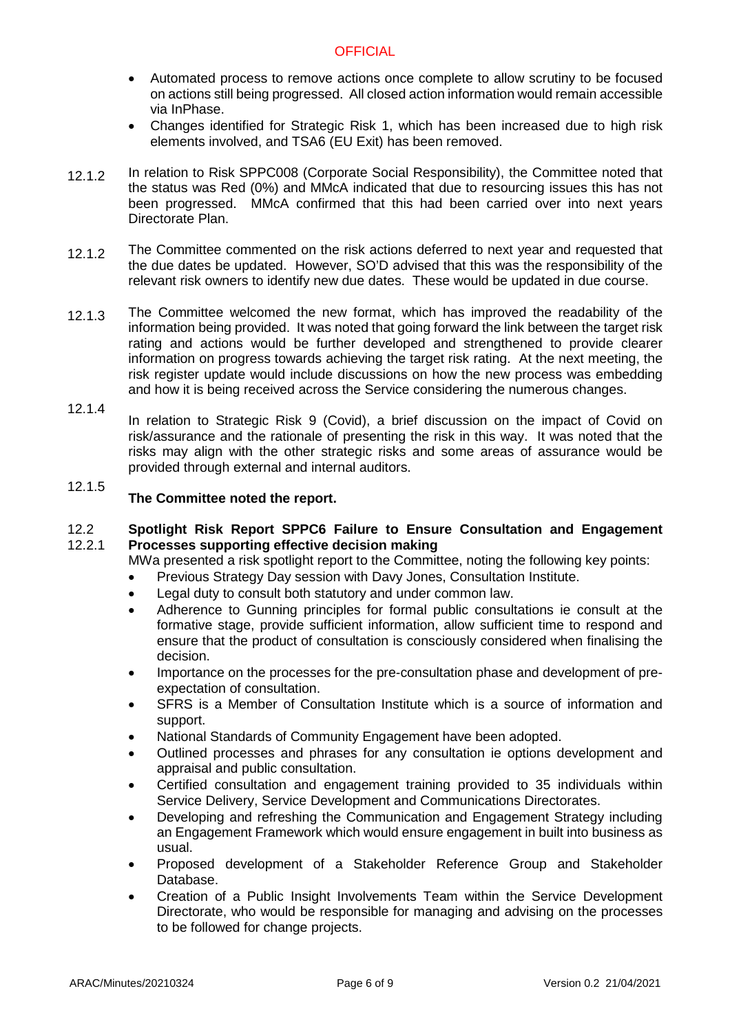- Automated process to remove actions once complete to allow scrutiny to be focused on actions still being progressed. All closed action information would remain accessible via InPhase.
- Changes identified for Strategic Risk 1, which has been increased due to high risk elements involved, and TSA6 (EU Exit) has been removed.
- 12.1.2 In relation to Risk SPPC008 (Corporate Social Responsibility), the Committee noted that the status was Red (0%) and MMcA indicated that due to resourcing issues this has not been progressed. MMcA confirmed that this had been carried over into next years Directorate Plan.
- 12.1.2 The Committee commented on the risk actions deferred to next year and requested that the due dates be updated. However, SO'D advised that this was the responsibility of the relevant risk owners to identify new due dates. These would be updated in due course.
- 12.1.3 The Committee welcomed the new format, which has improved the readability of the information being provided. It was noted that going forward the link between the target risk rating and actions would be further developed and strengthened to provide clearer information on progress towards achieving the target risk rating. At the next meeting, the risk register update would include discussions on how the new process was embedding and how it is being received across the Service considering the numerous changes.
- 12.1.4
	- In relation to Strategic Risk 9 (Covid), a brief discussion on the impact of Covid on risk/assurance and the rationale of presenting the risk in this way. It was noted that the risks may align with the other strategic risks and some areas of assurance would be provided through external and internal auditors.

### 12.1.5 **The Committee noted the report.**

#### 12.2 12.2.1 **Spotlight Risk Report SPPC6 Failure to Ensure Consultation and Engagement Processes supporting effective decision making**

MWa presented a risk spotlight report to the Committee, noting the following key points:

- Previous Strategy Day session with Davy Jones, Consultation Institute.
- Legal duty to consult both statutory and under common law.
- Adherence to Gunning principles for formal public consultations ie consult at the formative stage, provide sufficient information, allow sufficient time to respond and ensure that the product of consultation is consciously considered when finalising the decision.
- Importance on the processes for the pre-consultation phase and development of preexpectation of consultation.
- SFRS is a Member of Consultation Institute which is a source of information and support.
- National Standards of Community Engagement have been adopted.
- Outlined processes and phrases for any consultation ie options development and appraisal and public consultation.
- Certified consultation and engagement training provided to 35 individuals within Service Delivery, Service Development and Communications Directorates.
- Developing and refreshing the Communication and Engagement Strategy including an Engagement Framework which would ensure engagement in built into business as usual.
- Proposed development of a Stakeholder Reference Group and Stakeholder Database.
- Creation of a Public Insight Involvements Team within the Service Development Directorate, who would be responsible for managing and advising on the processes to be followed for change projects.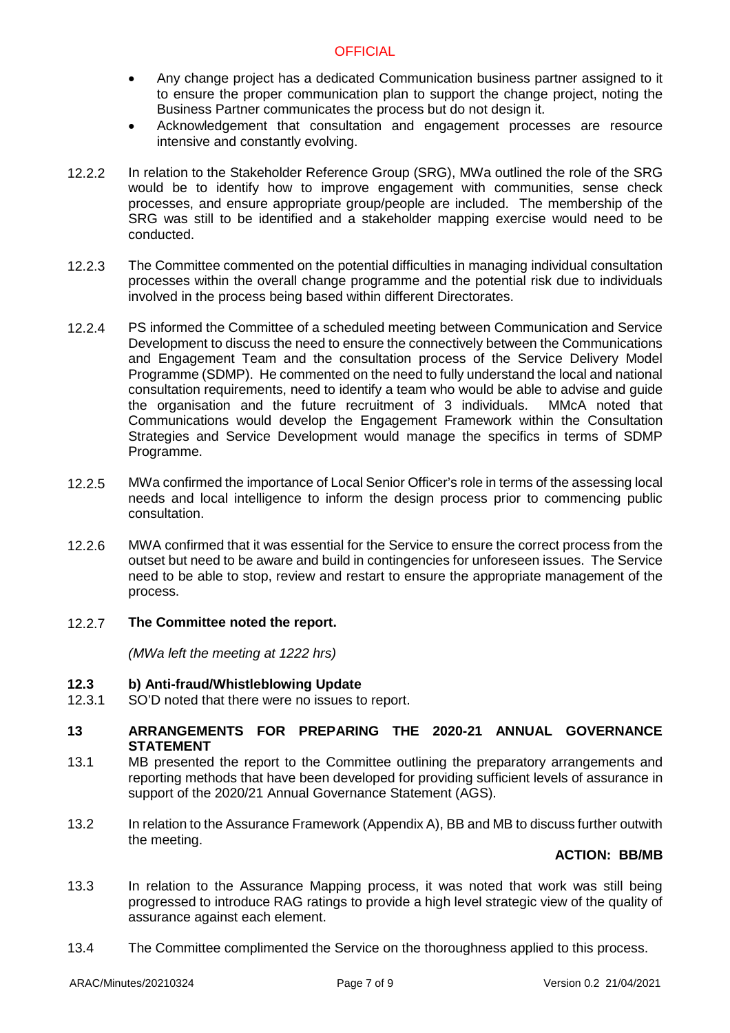- Any change project has a dedicated Communication business partner assigned to it to ensure the proper communication plan to support the change project, noting the Business Partner communicates the process but do not design it.
- Acknowledgement that consultation and engagement processes are resource intensive and constantly evolving.
- 12.2.2 In relation to the Stakeholder Reference Group (SRG), MWa outlined the role of the SRG would be to identify how to improve engagement with communities, sense check processes, and ensure appropriate group/people are included. The membership of the SRG was still to be identified and a stakeholder mapping exercise would need to be conducted.
- 12.2.3 The Committee commented on the potential difficulties in managing individual consultation processes within the overall change programme and the potential risk due to individuals involved in the process being based within different Directorates.
- 12.2.4 PS informed the Committee of a scheduled meeting between Communication and Service Development to discuss the need to ensure the connectively between the Communications and Engagement Team and the consultation process of the Service Delivery Model Programme (SDMP). He commented on the need to fully understand the local and national consultation requirements, need to identify a team who would be able to advise and guide the organisation and the future recruitment of 3 individuals. MMcA noted that Communications would develop the Engagement Framework within the Consultation Strategies and Service Development would manage the specifics in terms of SDMP Programme.
- 12.2.5 MWa confirmed the importance of Local Senior Officer's role in terms of the assessing local needs and local intelligence to inform the design process prior to commencing public consultation.
- 12.2.6 MWA confirmed that it was essential for the Service to ensure the correct process from the outset but need to be aware and build in contingencies for unforeseen issues. The Service need to be able to stop, review and restart to ensure the appropriate management of the process.
- 12.2.7 **The Committee noted the report.**

*(MWa left the meeting at 1222 hrs)*

- **12.3 b) Anti-fraud/Whistleblowing Update**
- 12.3.1 SO'D noted that there were no issues to report.
- **13 ARRANGEMENTS FOR PREPARING THE 2020-21 ANNUAL GOVERNANCE STATEMENT**
- 13.1 MB presented the report to the Committee outlining the preparatory arrangements and reporting methods that have been developed for providing sufficient levels of assurance in support of the 2020/21 Annual Governance Statement (AGS).
- 13.2 In relation to the Assurance Framework (Appendix A), BB and MB to discuss further outwith the meeting.

### **ACTION: BB/MB**

- 13.3 In relation to the Assurance Mapping process, it was noted that work was still being progressed to introduce RAG ratings to provide a high level strategic view of the quality of assurance against each element.
- 13.4 The Committee complimented the Service on the thoroughness applied to this process.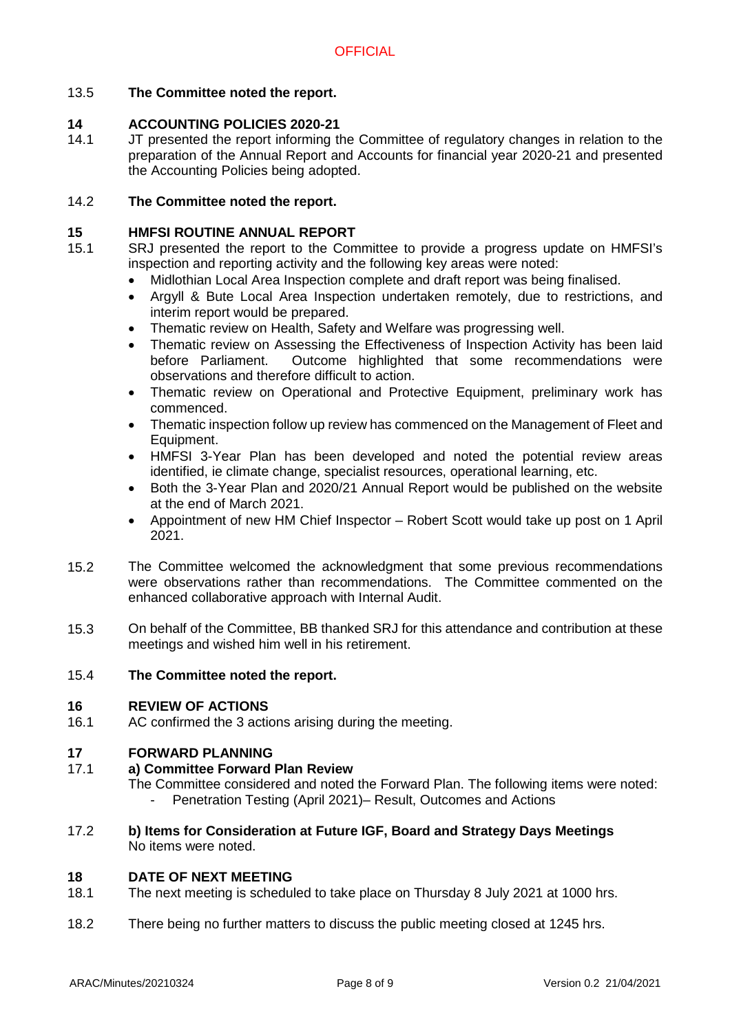### 13.5 **The Committee noted the report.**

#### **14 ACCOUNTING POLICIES 2020-21**

14.1 JT presented the report informing the Committee of regulatory changes in relation to the preparation of the Annual Report and Accounts for financial year 2020-21 and presented the Accounting Policies being adopted.

#### 14.2 **The Committee noted the report.**

#### **15 HMFSI ROUTINE ANNUAL REPORT**

- 15.1 SRJ presented the report to the Committee to provide a progress update on HMFSI's inspection and reporting activity and the following key areas were noted:
	- Midlothian Local Area Inspection complete and draft report was being finalised.
	- Argyll & Bute Local Area Inspection undertaken remotely, due to restrictions, and interim report would be prepared.
	- Thematic review on Health, Safety and Welfare was progressing well.
	- Thematic review on Assessing the Effectiveness of Inspection Activity has been laid before Parliament. Outcome highlighted that some recommendations were observations and therefore difficult to action.
	- Thematic review on Operational and Protective Equipment, preliminary work has commenced.
	- Thematic inspection follow up review has commenced on the Management of Fleet and Equipment.
	- HMFSI 3-Year Plan has been developed and noted the potential review areas identified, ie climate change, specialist resources, operational learning, etc.
	- Both the 3-Year Plan and 2020/21 Annual Report would be published on the website at the end of March 2021.
	- Appointment of new HM Chief Inspector Robert Scott would take up post on 1 April 2021.
- 15.2 The Committee welcomed the acknowledgment that some previous recommendations were observations rather than recommendations. The Committee commented on the enhanced collaborative approach with Internal Audit.
- 15.3 On behalf of the Committee, BB thanked SRJ for this attendance and contribution at these meetings and wished him well in his retirement.

#### 15.4 **The Committee noted the report.**

#### **16 REVIEW OF ACTIONS**

16.1 AC confirmed the 3 actions arising during the meeting.

#### **17 FORWARD PLANNING**

#### 17.1 **a) Committee Forward Plan Review**

The Committee considered and noted the Forward Plan. The following items were noted: Penetration Testing (April 2021)– Result, Outcomes and Actions

17.2 **b) Items for Consideration at Future IGF, Board and Strategy Days Meetings** No items were noted.

#### **18 DATE OF NEXT MEETING**

- 18.1 The next meeting is scheduled to take place on Thursday 8 July 2021 at 1000 hrs.
- 18.2 There being no further matters to discuss the public meeting closed at 1245 hrs.